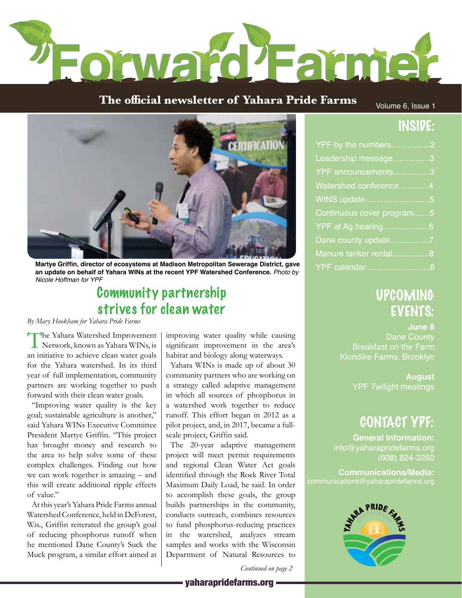

# **The official newsletter of Yahara Pride Farms Yahara Pride Farms Newsletter**

Volume 6, Issue 1

## INSIDE:



**Martye Griffin, director of ecosystems at Madison Metropolitan Sewerage District, gave an update on behalf of Yahara WINs at the recent YPF Watershed Conference.** *Photo by Nicole Hoffman for YPF*

## Community partnership strives for clean water

*By Mary Hookham for Yahara Pride Farms*

T he Yahara Watershed Improvement Network, known as Yahara WINs, is an initiative to achieve clean water goals for the Yahara watershed. In its third year of full implementation, community partners are working together to push forward with their clean water goals.

"Improving water quality is the key goal; sustainable agriculture is another," said Yahara WINs Executive Committee President Martye Griffin. "This project has brought money and research to the area to help solve some of these complex challenges. Finding out how we can work together is amazing – and this will create additional ripple effects of value."

At this year's Yahara Pride Farms annual Watershed Conference, held in DeForest, Wis., Griffin reiterated the group's goal of reducing phosphorus runoff when he mentioned Dane County's Suck the Muck program, a similar effort aimed at

improving water quality while causing significant improvement in the area's habitat and biology along waterways.

Yahara WINs is made up of about 30 community partners who are working on a strategy called adaptive management in which all sources of phosphorus in a watershed work together to reduce runoff. This effort began in 2012 as a pilot project, and, in 2017, became a fullscale project, Griffin said.

The 20-year adaptive management project will meet permit requirements and regional Clean Water Act goals identified through the Rock River Total Maximum Daily Load, he said. In order to accomplish these goals, the group builds partnerships in the community, conducts outreach, combines resources to fund phosphorus-reducing practices in the watershed, analyzes stream samples and works with the Wisconsin Department of Natural Resources to

*Continued on page 2*

#### - vaharapridefarms.org -

| YPF by the numbers2       |  |
|---------------------------|--|
| Leadership message3       |  |
| YPF announcements3        |  |
| Watershed conference4     |  |
| WINS update5              |  |
| Continuous cover program5 |  |
| YPF at Ag hearing6        |  |
|                           |  |
| Manure tanker rental8     |  |
| YPF calendar8             |  |

## UPCOMING EVENTS:

**June 8** Dane County Breakfast on the Farm Klondike Farms, Brooklyn

> **August** YPF Twilight meetings

## CONTACT YPF:

**General Information:** info@yaharapridefarms.org (608) 824-3250

**Communications/Media:**

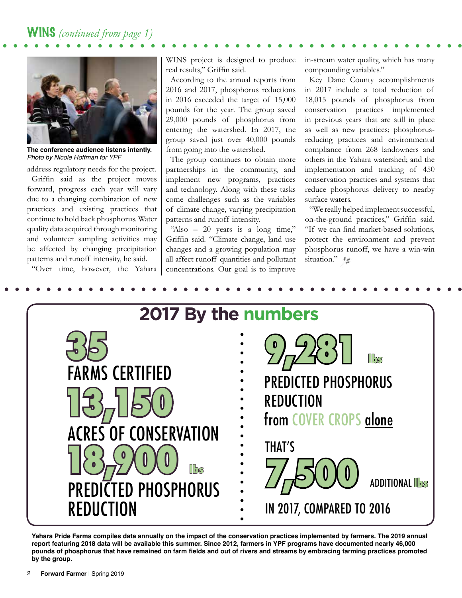

**The conference audience listens intently.** *Photo by Nicole Hoffman for YPF*

address regulatory needs for the project. Griffin said as the project moves forward, progress each year will vary due to a changing combination of new practices and existing practices that continue to hold back phosphorus. Water quality data acquired through monitoring and volunteer sampling activities may be affected by changing precipitation patterns and runoff intensity, he said.

"Over time, however, the Yahara

WINS project is designed to produce real results," Griffin said.

According to the annual reports from 2016 and 2017, phosphorus reductions in 2016 exceeded the target of 15,000 pounds for the year. The group saved 29,000 pounds of phosphorus from entering the watershed. In 2017, the group saved just over 40,000 pounds from going into the watershed.

The group continues to obtain more partnerships in the community, and implement new programs, practices and technology. Along with these tasks come challenges such as the variables of climate change, varying precipitation patterns and runoff intensity.

"Also – 20 years is a long time," Griffin said. "Climate change, land use changes and a growing population may all affect runoff quantities and pollutant concentrations. Our goal is to improve in-stream water quality, which has many compounding variables."

Key Dane County accomplishments in 2017 include a total reduction of 18,015 pounds of phosphorus from conservation practices implemented in previous years that are still in place as well as new practices; phosphorusreducing practices and environmental compliance from 268 landowners and others in the Yahara watershed; and the implementation and tracking of 450 conservation practices and systems that reduce phosphorus delivery to nearby surface waters.

"We really helped implement successful, on-the-ground practices," Griffin said. "If we can find market-based solutions, protect the environment and prevent phosphorus runoff, we have a win-win situation."



**Yahara Pride Farms compiles data annually on the impact of the conservation practices implemented by farmers. The 2019 annual report featuring 2018 data will be available this summer. Since 2012, farmers in YPF programs have documented nearly 46,000 pounds of phosphorus that have remained on farm fields and out of rivers and streams by embracing farming practices promoted by the group.**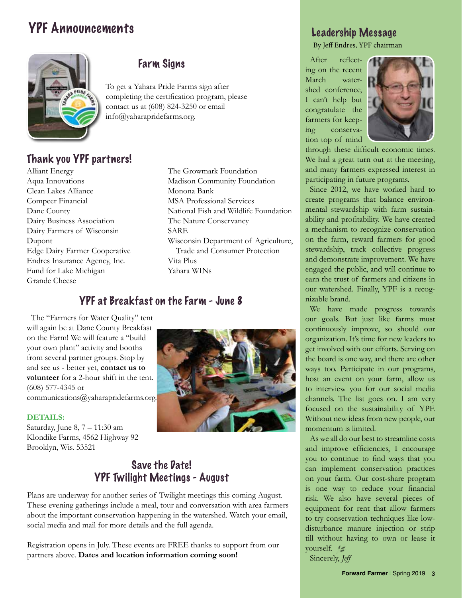## YPF Announcements



#### Farm Signs

To get a Yahara Pride Farms sign after completing the certification program, please contact us at (608) 824-3250 or email info@yaharapridefarms.org.

### Thank you YPF partners!

Alliant Energy Aqua Innovations Clean Lakes Alliance Compeer Financial Dane County Dairy Business Association Dairy Farmers of Wisconsin Dupont Edge Dairy Farmer Cooperative Endres Insurance Agency, Inc. Fund for Lake Michigan Grande Cheese

The Growmark Foundation Madison Community Foundation Monona Bank MSA Professional Services National Fish and Wildlife Foundation The Nature Conservancy SARE Wisconsin Department of Agriculture, Trade and Consumer Protection Vita Plus Yahara WINs

### YPF at Breakfast on the Farm - June 8

The "Farmers for Water Quality" tent will again be at Dane County Breakfast on the Farm! We will feature a "build your own plant" activity and booths from several partner groups. Stop by and see us - better yet, **contact us to volunteer** for a 2-hour shift in the tent. (608) 577-4345 or communications@yaharapridefarms.org.

#### **DETAILS:**

Saturday, June 8, 7 – 11:30 am Klondike Farms, 4562 Highway 92 Brooklyn, Wis. 53521



#### Save the Date! YPF Twilight Meetings - August

Plans are underway for another series of Twilight meetings this coming August. These evening gatherings include a meal, tour and conversation with area farmers about the important conservation happening in the watershed. Watch your email, social media and mail for more details and the full agenda.

Registration opens in July. These events are FREE thanks to support from our partners above. **Dates and location information coming soon!**

### Leadership Message

By Jeff Endres, YPF chairman

After reflecting on the recent March watershed conference, I can't help but congratulate the farmers for keeping conservation top of mind



through these difficult economic times. We had a great turn out at the meeting, and many farmers expressed interest in participating in future programs.

Since 2012, we have worked hard to create programs that balance environmental stewardship with farm sustainability and profitability. We have created a mechanism to recognize conservation on the farm, reward farmers for good stewardship, track collective progress and demonstrate improvement. We have engaged the public, and will continue to earn the trust of farmers and citizens in our watershed. Finally, YPF is a recognizable brand.

We have made progress towards our goals. But just like farms must continuously improve, so should our organization. It's time for new leaders to get involved with our efforts. Serving on the board is one way, and there are other ways too. Participate in our programs, host an event on your farm, allow us to interview you for our social media channels. The list goes on. I am very focused on the sustainability of YPF. Without new ideas from new people, our momentum is limited.

As we all do our best to streamline costs and improve efficiencies, I encourage you to continue to find ways that you can implement conservation practices on your farm. Our cost-share program is one way to reduce your financial risk. We also have several pieces of equipment for rent that allow farmers to try conservation techniques like lowdisturbance manure injection or strip till without having to own or lease it yourself.

Sincerely, *Jeff*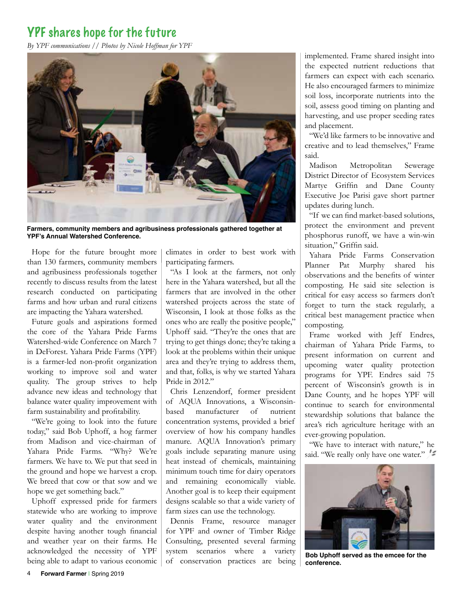### YPF shares hope for the future

*By YPF communications // Photos by Nicole Hoffman for YPF*



**Farmers, community members and agribusiness professionals gathered together at YPF's Annual Watershed Conference.** 

Hope for the future brought more than 130 farmers, community members and agribusiness professionals together recently to discuss results from the latest research conducted on participating farms and how urban and rural citizens are impacting the Yahara watershed.

Future goals and aspirations formed the core of the Yahara Pride Farms Watershed-wide Conference on March 7 in DeForest. Yahara Pride Farms (YPF) is a farmer-led non-profit organization working to improve soil and water quality. The group strives to help advance new ideas and technology that balance water quality improvement with farm sustainability and profitability.

"We're going to look into the future today," said Bob Uphoff, a hog farmer from Madison and vice-chairman of Yahara Pride Farms. "Why? We're farmers. We have to. We put that seed in the ground and hope we harvest a crop. We breed that cow or that sow and we hope we get something back."

Uphoff expressed pride for farmers statewide who are working to improve water quality and the environment despite having another tough financial and weather year on their farms. He acknowledged the necessity of YPF being able to adapt to various economic climates in order to best work with participating farmers.

"As I look at the farmers, not only here in the Yahara watershed, but all the farmers that are involved in the other watershed projects across the state of Wisconsin, I look at those folks as the ones who are really the positive people," Uphoff said. "They're the ones that are trying to get things done; they're taking a look at the problems within their unique area and they're trying to address them, and that, folks, is why we started Yahara Pride in 2012."

Chris Lenzendorf, former president of AQUA Innovations, a Wisconsinbased manufacturer of nutrient concentration systems, provided a brief overview of how his company handles manure. AQUA Innovation's primary goals include separating manure using heat instead of chemicals, maintaining minimum touch time for dairy operators and remaining economically viable. Another goal is to keep their equipment designs scalable so that a wide variety of farm sizes can use the technology.

Dennis Frame, resource manager for YPF and owner of Timber Ridge Consulting, presented several farming system scenarios where a variety of conservation practices are being implemented. Frame shared insight into the expected nutrient reductions that farmers can expect with each scenario. He also encouraged farmers to minimize soil loss, incorporate nutrients into the soil, assess good timing on planting and harvesting, and use proper seeding rates and placement.

"We'd like farmers to be innovative and creative and to lead themselves," Frame said.

Madison Metropolitan Sewerage District Director of Ecosystem Services Martye Griffin and Dane County Executive Joe Parisi gave short partner updates during lunch.

"If we can find market-based solutions, protect the environment and prevent phosphorus runoff, we have a win-win situation," Griffin said.

Yahara Pride Farms Conservation Planner Pat Murphy shared his observations and the benefits of winter composting. He said site selection is critical for easy access so farmers don't forget to turn the stack regularly, a critical best management practice when composting.

Frame worked with Jeff Endres, chairman of Yahara Pride Farms, to present information on current and upcoming water quality protection programs for YPF. Endres said 75 percent of Wisconsin's growth is in Dane County, and he hopes YPF will continue to search for environmental stewardship solutions that balance the area's rich agriculture heritage with an ever-growing population.

"We have to interact with nature," he said. "We really only have one water."



**Bob Uphoff served as the emcee for the conference.**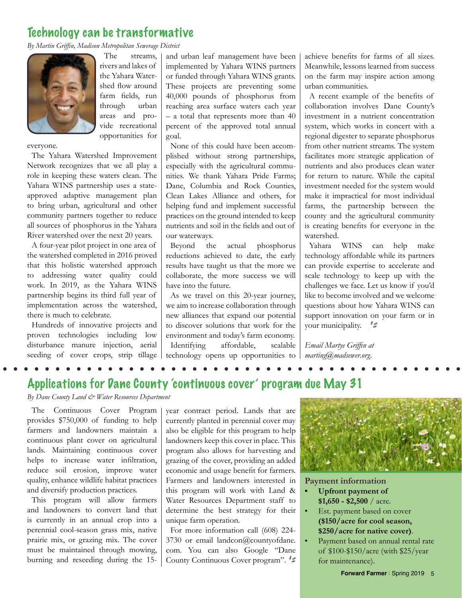### Technology can be transformative

*By Martin Griffin, Madison Metropolitan Sewerage District*



The streams, rivers and lakes of the Yahara Watershed flow around farm fields, run through urban areas and provide recreational opportunities for

everyone.

The Yahara Watershed Improvement Network recognizes that we all play a role in keeping these waters clean. The Yahara WINS partnership uses a stateapproved adaptive management plan to bring urban, agricultural and other community partners together to reduce all sources of phosphorus in the Yahara River watershed over the next 20 years.

A four-year pilot project in one area of the watershed completed in 2016 proved that this holistic watershed approach to addressing water quality could work. In 2019, as the Yahara WINS partnership begins its third full year of implementation across the watershed, there is much to celebrate.

Hundreds of innovative projects and proven technologies including low disturbance manure injection, aerial seeding of cover crops, strip tillage and urban leaf management have been implemented by Yahara WINS partners or funded through Yahara WINS grants. These projects are preventing some 40,000 pounds of phosphorus from reaching area surface waters each year  $-$  a total that represents more than 40 percent of the approved total annual goal.

None of this could have been accomplished without strong partnerships, especially with the agricultural communities. We thank Yahara Pride Farms; Dane, Columbia and Rock Counties, Clean Lakes Alliance and others, for helping fund and implement successful practices on the ground intended to keep nutrients and soil in the fields and out of our waterways.

Beyond the actual phosphorus reductions achieved to date, the early results have taught us that the more we collaborate, the more success we will have into the future.

As we travel on this 20-year journey, we aim to increase collaboration through new alliances that expand our potential to discover solutions that work for the environment and today's farm economy. Identifying affordable, scalable technology opens up opportunities to achieve benefits for farms of all sizes. Meanwhile, lessons learned from success on the farm may inspire action among urban communities.

A recent example of the benefits of collaboration involves Dane County's investment in a nutrient concentration system, which works in concert with a regional digester to separate phosphorus from other nutrient streams. The system facilitates more strategic application of nutrients and also produces clean water for return to nature. While the capital investment needed for the system would make it impractical for most individual farms, the partnership between the county and the agricultural community is creating benefits for everyone in the watershed.

Yahara WINS can help make technology affordable while its partners can provide expertise to accelerate and scale technology to keep up with the challenges we face. Let us know if you'd like to become involved and we welcome questions about how Yahara WINS can support innovation on your farm or in your municipality.  $\leq$ 

*Email Martye Griffin at marting@madsewer.org.*

Applications for Dane County 'continuous cover' program due May 31

*By Dane County Land & Water Resources Department*

The Continuous Cover Program provides \$750,000 of funding to help farmers and landowners maintain a continuous plant cover on agricultural lands. Maintaining continuous cover helps to increase water infiltration, reduce soil erosion, improve water quality, enhance wildlife habitat practices and diversify production practices.

This program will allow farmers and landowners to convert land that is currently in an annual crop into a perennial cool-season grass mix, native prairie mix, or grazing mix. The cover must be maintained through mowing, burning and reseeding during the 15-

year contract period. Lands that are currently planted in perennial cover may also be eligible for this program to help landowners keep this cover in place. This program also allows for harvesting and grazing of the cover, providing an added economic and usage benefit for farmers. Farmers and landowners interested in this program will work with Land & Water Resources Department staff to determine the best strategy for their unique farm operation.

For more information call (608) 224- 3730 or email landcon@countyofdane. com. You can also Google "Dane County Continuous Cover program".



#### **Payment information**

- **• Upfront payment of \$1,650 - \$2,500** / acre.
- Est. payment based on cover **(\$150/acre for cool season, \$250/acre for native cover)**.
- Payment based on annual rental rate of \$100-\$150/acre (with \$25/year for maintenance).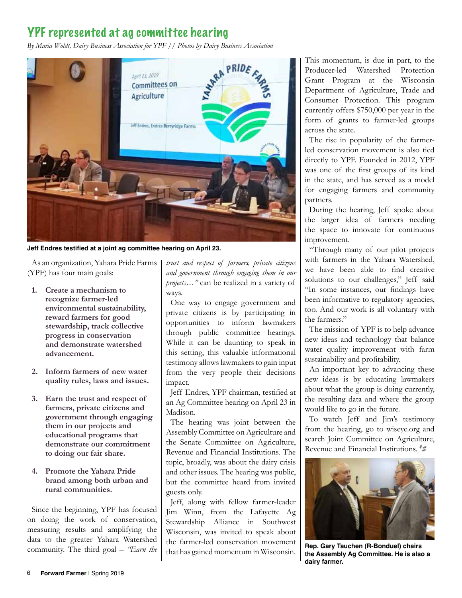### YPF represented at ag committee hearing



**Jeff Endres testified at a joint ag committee hearing on April 23.**

As an organization, Yahara Pride Farms (YPF) has four main goals:

- **1. Create a mechanism to recognize farmer-led environmental sustainability, reward farmers for good stewardship, track collective progress in conservation and demonstrate watershed advancement.**
- **2. Inform farmers of new water quality rules, laws and issues.**
- **3. Earn the trust and respect of farmers, private citizens and government through engaging them in our projects and educational programs that demonstrate our commitment to doing our fair share.**
- **4. Promote the Yahara Pride brand among both urban and rural communities.**

Since the beginning, YPF has focused on doing the work of conservation, measuring results and amplifying the data to the greater Yahara Watershed community. The third goal – *"Earn the*  *trust and respect of farmers, private citizens and government through engaging them in our projects…"* can be realized in a variety of ways.

One way to engage government and private citizens is by participating in opportunities to inform lawmakers through public committee hearings. While it can be daunting to speak in this setting, this valuable informational testimony allows lawmakers to gain input from the very people their decisions impact.

Jeff Endres, YPF chairman, testified at an Ag Committee hearing on April 23 in Madison.

The hearing was joint between the Assembly Committee on Agriculture and the Senate Committee on Agriculture, Revenue and Financial Institutions. The topic, broadly, was about the dairy crisis and other issues. The hearing was public, but the committee heard from invited guests only.

Jeff, along with fellow farmer-leader Jim Winn, from the Lafayette Ag Stewardship Alliance in Southwest Wisconsin, was invited to speak about the farmer-led conservation movement that has gained momentum in Wisconsin.

This momentum, is due in part, to the Producer-led Watershed Protection Grant Program at the Wisconsin Department of Agriculture, Trade and Consumer Protection. This program currently offers \$750,000 per year in the form of grants to farmer-led groups across the state.

The rise in popularity of the farmerled conservation movement is also tied directly to YPF. Founded in 2012, YPF was one of the first groups of its kind in the state, and has served as a model for engaging farmers and community partners.

During the hearing, Jeff spoke about the larger idea of farmers needing the space to innovate for continuous improvement.

"Through many of our pilot projects with farmers in the Yahara Watershed, we have been able to find creative solutions to our challenges," Jeff said "In some instances, our findings have been informative to regulatory agencies, too. And our work is all voluntary with the farmers."

The mission of YPF is to help advance new ideas and technology that balance water quality improvement with farm sustainability and profitability.

An important key to advancing these new ideas is by educating lawmakers about what the group is doing currently, the resulting data and where the group would like to go in the future.

To watch Jeff and Jim's testimony from the hearing, go to wiseye.org and search Joint Committee on Agriculture, Revenue and Financial Institutions.



**Rep. Gary Tauchen (R-Bonduel) chairs the Assembly Ag Committee. He is also a dairy farmer.**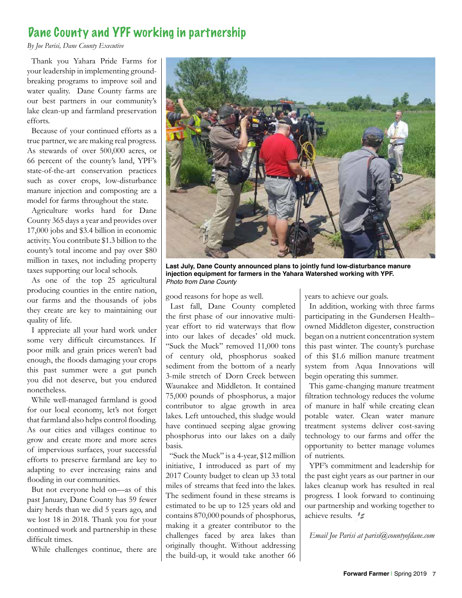### Dane County and YPF working in partnership

*By Joe Parisi, Dane County Executive*

Thank you Yahara Pride Farms for your leadership in implementing groundbreaking programs to improve soil and water quality. Dane County farms are our best partners in our community's lake clean-up and farmland preservation efforts.

Because of your continued efforts as a true partner, we are making real progress. As stewards of over 500,000 acres, or 66 percent of the county's land, YPF's state-of-the-art conservation practices such as cover crops, low-disturbance manure injection and composting are a model for farms throughout the state.

Agriculture works hard for Dane County 365 days a year and provides over 17,000 jobs and \$3.4 billion in economic activity. You contribute \$1.3 billion to the county's total income and pay over \$80 million in taxes, not including property taxes supporting our local schools.

As one of the top 25 agricultural producing counties in the entire nation, our farms and the thousands of jobs they create are key to maintaining our quality of life.

I appreciate all your hard work under some very difficult circumstances. If poor milk and grain prices weren't bad enough, the floods damaging your crops this past summer were a gut punch you did not deserve, but you endured nonetheless.

While well-managed farmland is good for our local economy, let's not forget that farmland also helps control flooding. As our cities and villages continue to grow and create more and more acres of impervious surfaces, your successful efforts to preserve farmland are key to adapting to ever increasing rains and flooding in our communities.

But not everyone held on—as of this past January, Dane County has 59 fewer dairy herds than we did 5 years ago, and we lost 18 in 2018. Thank you for your continued work and partnership in these difficult times.

While challenges continue, there are



**Last July, Dane County announced plans to jointly fund low-disturbance manure injection equipment for farmers in the Yahara Watershed working with YPF.**  *Photo from Dane County*

good reasons for hope as well.

Last fall, Dane County completed the first phase of our innovative multiyear effort to rid waterways that flow into our lakes of decades' old muck. "Suck the Muck" removed 11,000 tons of century old, phosphorus soaked sediment from the bottom of a nearly 3-mile stretch of Dorn Creek between Waunakee and Middleton. It contained 75,000 pounds of phosphorus, a major contributor to algae growth in area lakes. Left untouched, this sludge would have continued seeping algae growing phosphorus into our lakes on a daily basis.

"Suck the Muck" is a 4-year, \$12 million initiative, I introduced as part of my 2017 County budget to clean up 33 total miles of streams that feed into the lakes. The sediment found in these streams is estimated to be up to 125 years old and contains 870,000 pounds of phosphorus, making it a greater contributor to the challenges faced by area lakes than originally thought. Without addressing the build-up, it would take another 66 years to achieve our goals.

In addition, working with three farms participating in the Gundersen Health– owned Middleton digester, construction began on a nutrient concentration system this past winter. The county's purchase of this \$1.6 million manure treatment system from Aqua Innovations will begin operating this summer.

This game-changing manure treatment filtration technology reduces the volume of manure in half while creating clean potable water. Clean water manure treatment systems deliver cost-saving technology to our farms and offer the opportunity to better manage volumes of nutrients.

YPF's commitment and leadership for the past eight years as our partner in our lakes cleanup work has resulted in real progress. I look forward to continuing our partnership and working together to achieve results.  $\mathscr{Z}$ 

*Email Joe Parisi at parisi@countyofdane.com*